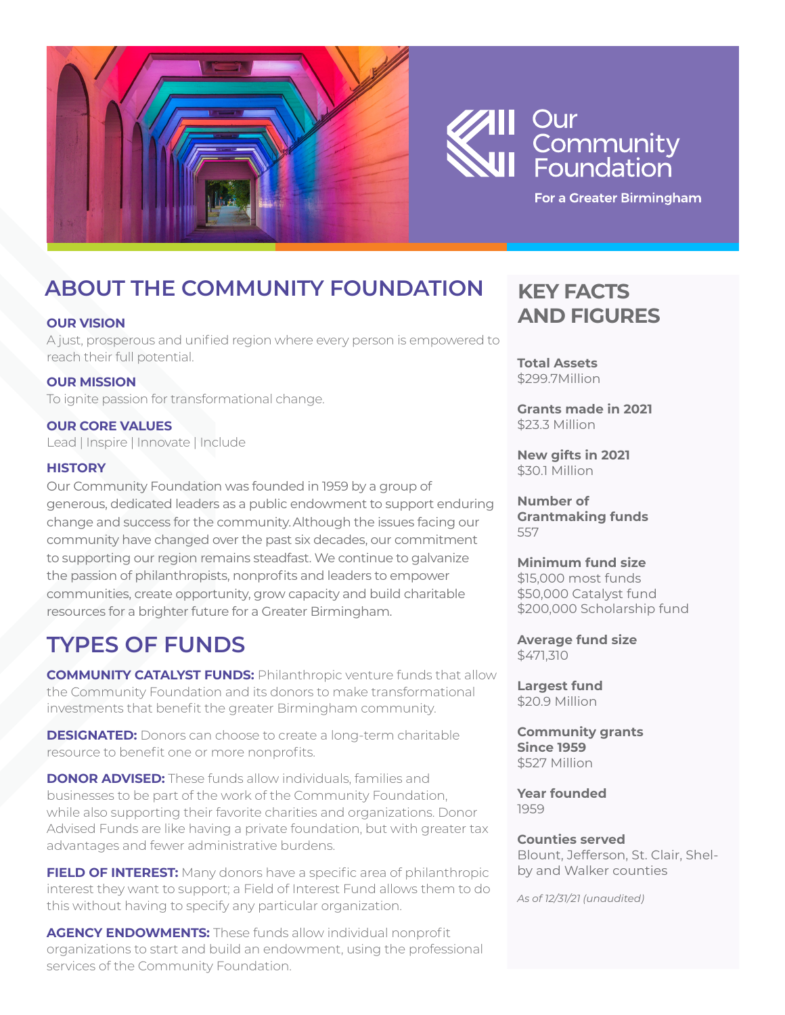

# Our | Community<br>| Community<br>| Foundation

For a Greater Birmingham

# **ABOUT THE COMMUNITY FOUNDATION**

#### **OUR VISION**

A just, prosperous and unified region where every person is empowered to reach their full potential.

#### **OUR MISSION**

To ignite passion for transformational change.

### **OUR CORE VALUES**

Lead | Inspire | Innovate | Include

#### **HISTORY**

Our Community Foundation was founded in 1959 by a group of generous, dedicated leaders as a public endowment to support enduring change and success for the community. Although the issues facing our community have changed over the past six decades, our commitment to supporting our region remains steadfast. We continue to galvanize the passion of philanthropists, nonprofits and leaders to empower communities, create opportunity, grow capacity and build charitable resources for a brighter future for a Greater Birmingham.

## **TYPES OF FUNDS**

**COMMUNITY CATALYST FUNDS:** Philanthropic venture funds that allow the Community Foundation and its donors to make transformational investments that benefit the greater Birmingham community.

**DESIGNATED:** Donors can choose to create a long-term charitable resource to benefit one or more nonprofits.

**DONOR ADVISED:** These funds allow individuals, families and businesses to be part of the work of the Community Foundation, while also supporting their favorite charities and organizations. Donor Advised Funds are like having a private foundation, but with greater tax advantages and fewer administrative burdens.

**FIELD OF INTEREST:** Many donors have a specific area of philanthropic interest they want to support; a Field of Interest Fund allows them to do this without having to specify any particular organization.

**AGENCY ENDOWMENTS:** These funds allow individual nonprofit organizations to start and build an endowment, using the professional services of the Community Foundation.

### **KEY FACTS AND FIGURES**

**Total Assets** \$299.7Million

**Grants made in 2021** \$23.3 Million

**New gifts in 2021** \$30.1 Million

**Number of Grantmaking funds** 557

#### **Minimum fund size**

\$15,000 most funds \$50,000 Catalyst fund \$200,000 Scholarship fund

**Average fund size** \$471,310

**Largest fund** \$20.9 Million

**Community grants Since 1959** \$527 Million

**Year founded** 1959

#### **Counties served**

Blount, Jefferson, St. Clair, Shelby and Walker counties

*As of 12/31/21 (unaudited)*